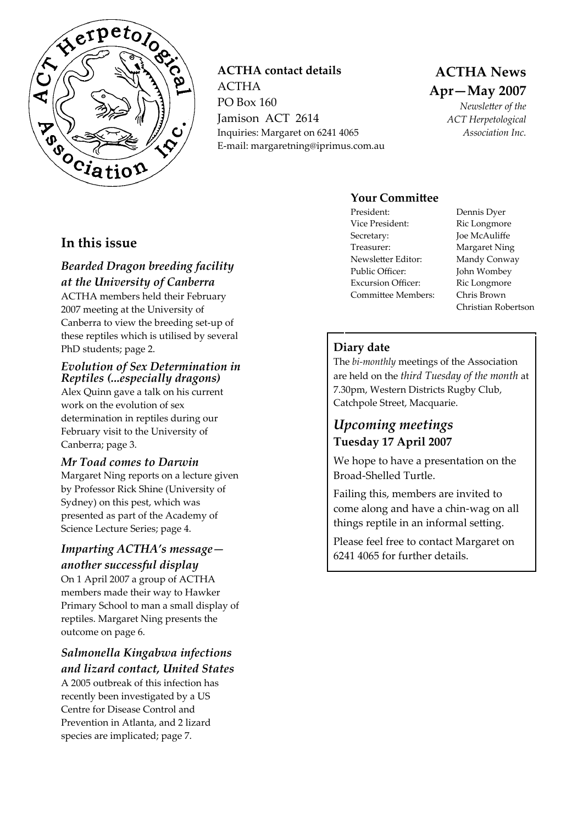

**ACTHA contact details** ACTHA PO Box 160 Jamison ACT 2614 Inquiries: Margaret on 6241 4065 E-mail: margaretning@iprimus.com.au

## **ACTHA News Apr—May 2007**

*Newsletter of the ACT Herpetological Association Inc.*

#### **Your Committee**

- President: Dennis Dyer Vice President: Ric Longmore Secretary: Joe McAuliffe Treasurer: Margaret Ning Newsletter Editor: Mandy Conway Public Officer: John Wombey Excursion Officer: Ric Longmore Committee Members: Chris Brown
	- Christian Robertson

### **Diary date**

The *bi-monthly* meetings of the Association are held on the *third Tuesday of the month* at 7.30pm, Western Districts Rugby Club, Catchpole Street, Macquarie.

## *Upcoming meetings* **Tuesday 17 April 2007**

We hope to have a presentation on the Broad-Shelled Turtle.

Failing this, members are invited to come along and have a chin-wag on all things reptile in an informal setting.

Please feel free to contact Margaret on 6241 4065 for further details.

## **In this issue**

## *Bearded Dragon breeding facility at the University of Canberra*

ACTHA members held their February 2007 meeting at the University of Canberra to view the breeding set-up of these reptiles which is utilised by several PhD students; page 2.

#### *Evolution of Sex Determination in Reptiles (...especially dragons)*

Alex Quinn gave a talk on his current work on the evolution of sex determination in reptiles during our February visit to the University of Canberra; page 3.

#### *Mr Toad comes to Darwin*

Margaret Ning reports on a lecture given by Professor Rick Shine (University of Sydney) on this pest, which was presented as part of the Academy of Science Lecture Series; page 4.

## *Imparting ACTHA's message another successful display*

On 1 April 2007 a group of ACTHA members made their way to Hawker Primary School to man a small display of reptiles. Margaret Ning presents the outcome on page 6.

## *Salmonella Kingabwa infections and lizard contact, United States*

A 2005 outbreak of this infection has recently been investigated by a US Centre for Disease Control and Prevention in Atlanta, and 2 lizard species are implicated; page 7.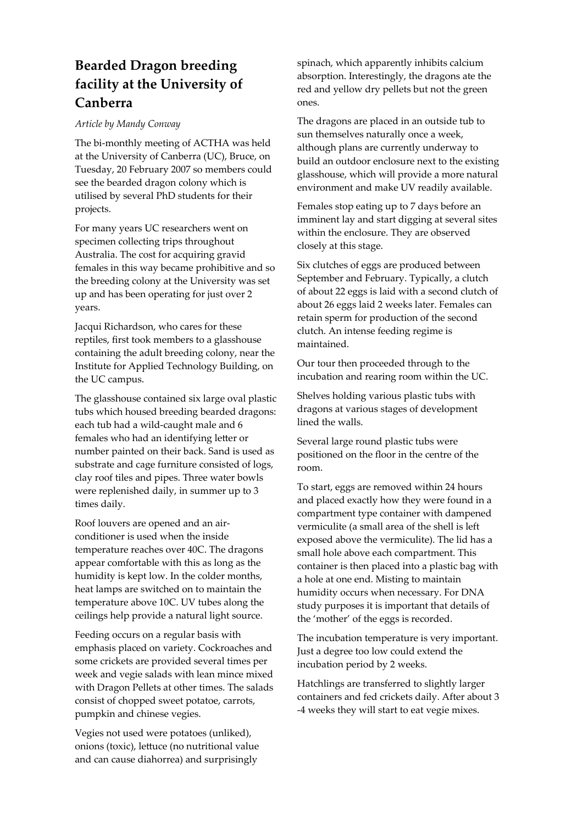# **Bearded Dragon breeding facility at the University of Canberra**

#### *Article by Mandy Conway*

The bi-monthly meeting of ACTHA was held at the University of Canberra (UC), Bruce, on Tuesday, 20 February 2007 so members could see the bearded dragon colony which is utilised by several PhD students for their projects.

For many years UC researchers went on specimen collecting trips throughout Australia. The cost for acquiring gravid females in this way became prohibitive and so the breeding colony at the University was set up and has been operating for just over 2 years.

Jacqui Richardson, who cares for these reptiles, first took members to a glasshouse containing the adult breeding colony, near the Institute for Applied Technology Building, on the UC campus.

The glasshouse contained six large oval plastic tubs which housed breeding bearded dragons: each tub had a wild-caught male and 6 females who had an identifying letter or number painted on their back. Sand is used as substrate and cage furniture consisted of logs, clay roof tiles and pipes. Three water bowls were replenished daily, in summer up to 3 times daily.

Roof louvers are opened and an airconditioner is used when the inside temperature reaches over 40C. The dragons appear comfortable with this as long as the humidity is kept low. In the colder months, heat lamps are switched on to maintain the temperature above 10C. UV tubes along the ceilings help provide a natural light source.

Feeding occurs on a regular basis with emphasis placed on variety. Cockroaches and some crickets are provided several times per week and vegie salads with lean mince mixed with Dragon Pellets at other times. The salads consist of chopped sweet potatoe, carrots, pumpkin and chinese vegies.

Vegies not used were potatoes (unliked), onions (toxic), lettuce (no nutritional value and can cause diahorrea) and surprisingly

spinach, which apparently inhibits calcium absorption. Interestingly, the dragons ate the red and yellow dry pellets but not the green ones.

The dragons are placed in an outside tub to sun themselves naturally once a week, although plans are currently underway to build an outdoor enclosure next to the existing glasshouse, which will provide a more natural environment and make UV readily available.

Females stop eating up to 7 days before an imminent lay and start digging at several sites within the enclosure. They are observed closely at this stage.

Six clutches of eggs are produced between September and February. Typically, a clutch of about 22 eggs is laid with a second clutch of about 26 eggs laid 2 weeks later. Females can retain sperm for production of the second clutch. An intense feeding regime is maintained.

Our tour then proceeded through to the incubation and rearing room within the UC.

Shelves holding various plastic tubs with dragons at various stages of development lined the walls.

Several large round plastic tubs were positioned on the floor in the centre of the room.

To start, eggs are removed within 24 hours and placed exactly how they were found in a compartment type container with dampened vermiculite (a small area of the shell is left exposed above the vermiculite). The lid has a small hole above each compartment. This container is then placed into a plastic bag with a hole at one end. Misting to maintain humidity occurs when necessary. For DNA study purposes it is important that details of the 'mother' of the eggs is recorded.

The incubation temperature is very important. Just a degree too low could extend the incubation period by 2 weeks.

Hatchlings are transferred to slightly larger containers and fed crickets daily. After about 3 -4 weeks they will start to eat vegie mixes.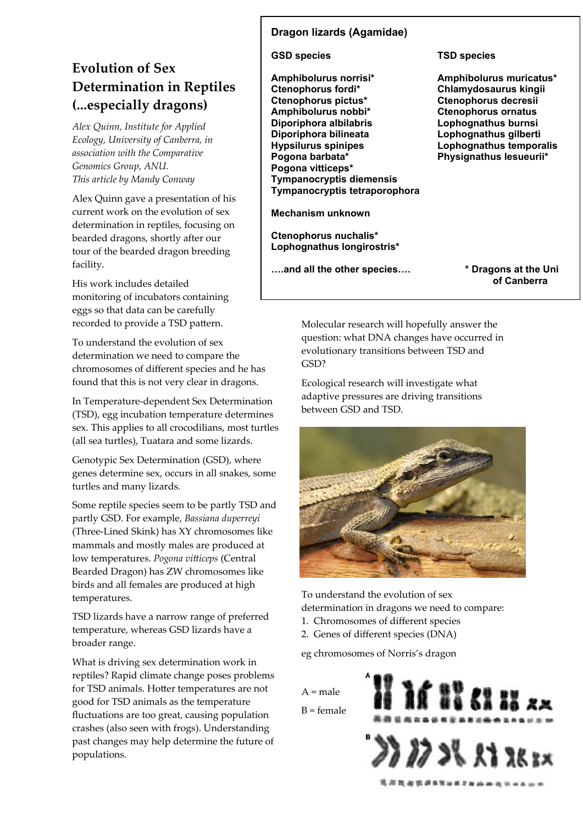### **Dragon lizards (Agamidae)**

#### **GSD species TSD species**

# **Evolution of Sex Determination in Reptiles (...especially dragons)**

*Alex Quinn, Institute for Applied Ecology, University of Canberra, in association with the Comparative Genomics Group, ANU. This article by Mandy Conway*

Alex Quinn gave a presentation of his current work on the evolution of sex determination in reptiles, focusing on bearded dragons, shortly after our tour of the bearded dragon breeding facility.

His work includes detailed monitoring of incubators containing eggs so that data can be carefully recorded to provide a TSD pattern.

To understand the evolution of sex determination we need to compare the chromosomes of different species and he has found that this is not very clear in dragons.

In Temperature-dependent Sex Determination (TSD), egg incubation temperature determines sex. This applies to all crocodilians, most turtles (all sea turtles), Tuatara and some lizards.

Genotypic Sex Determination (GSD), where genes determine sex, occurs in all snakes, some turtles and many lizards.

Some reptile species seem to be partly TSD and partly GSD. For example, *Bassiana duperreyi*  (Three-Lined Skink) has XY chromosomes like mammals and mostly males are produced at low temperatures. *Pogona vitticeps* (Central Bearded Dragon) has ZW chromosomes like birds and all females are produced at high temperatures.

TSD lizards have a narrow range of preferred temperature, whereas GSD lizards have a broader range.

What is driving sex determination work in reptiles? Rapid climate change poses problems for TSD animals. Hotter temperatures are not good for TSD animals as the temperature fluctuations are too great, causing population crashes (also seen with frogs). Understanding past changes may help determine the future of populations.

**Amphibolurus norrisi\* Amphibolurus muricatus\* Ctenophorus fordi\* Chlamydosaurus kingii Ctenophorus pictus\* Ctenophorus decresii Amphibolurus nobbi\* Ctenophorus ornatus Diporiphora albilabris Lophognathus burnsi Diporiphora bilineata Lophognathus gilberti Hypsilurus spinipes Lophognathus temporalis Pogona barbata\* Physignathus lesueurii\* Pogona vitticeps\* Tympanocryptis diemensis Tympanocryptis tetraporophora**

**Mechanism unknown**

**Ctenophorus nuchalis\* Lophognathus longirostris\*** 

**….and all the other species…. \* Dragons at the Uni**

**of Canberra**

Molecular research will hopefully answer the question: what DNA changes have occurred in evolutionary transitions between TSD and GSD?

Ecological research will investigate what adaptive pressures are driving transitions between GSD and TSD.



To understand the evolution of sex determination in dragons we need to compare:

- 1. Chromosomes of different species
- 2. Genes of different species (DNA)

eg chromosomes of Norris's dragon

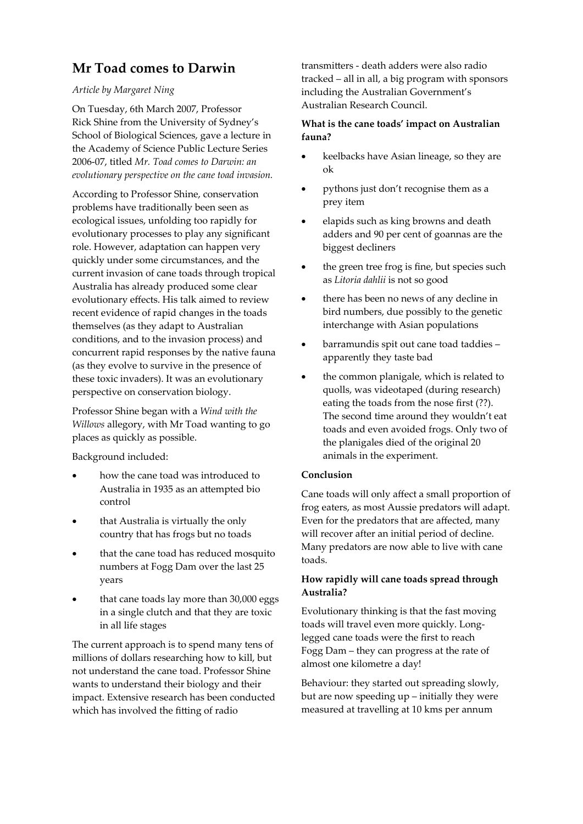# **Mr Toad comes to Darwin**

#### *Article by Margaret Ning*

On Tuesday, 6th March 2007, Professor Rick Shine from the University of Sydney's School of Biological Sciences, gave a lecture in the Academy of Science Public Lecture Series 2006-07, titled *Mr. Toad comes to Darwin: an evolutionary perspective on the cane toad invasion.*

According to Professor Shine, conservation problems have traditionally been seen as ecological issues, unfolding too rapidly for evolutionary processes to play any significant role. However, adaptation can happen very quickly under some circumstances, and the current invasion of cane toads through tropical Australia has already produced some clear evolutionary effects. His talk aimed to review recent evidence of rapid changes in the toads themselves (as they adapt to Australian conditions, and to the invasion process) and concurrent rapid responses by the native fauna (as they evolve to survive in the presence of these toxic invaders). It was an evolutionary perspective on conservation biology.

Professor Shine began with a *Wind with the Willows* allegory, with Mr Toad wanting to go places as quickly as possible.

Background included:

- how the cane toad was introduced to Australia in 1935 as an attempted bio control
- that Australia is virtually the only country that has frogs but no toads
- that the cane toad has reduced mosquito numbers at Fogg Dam over the last 25 years
- that cane toads lay more than 30,000 eggs in a single clutch and that they are toxic in all life stages

The current approach is to spend many tens of millions of dollars researching how to kill, but not understand the cane toad. Professor Shine wants to understand their biology and their impact. Extensive research has been conducted which has involved the fitting of radio

transmitters - death adders were also radio tracked – all in all, a big program with sponsors including the Australian Government's Australian Research Council.

#### **What is the cane toads' impact on Australian fauna?**

- keelbacks have Asian lineage, so they are ok
- pythons just don't recognise them as a prey item
- elapids such as king browns and death adders and 90 per cent of goannas are the biggest decliners
- the green tree frog is fine, but species such as *Litoria dahlii* is not so good
- there has been no news of any decline in bird numbers, due possibly to the genetic interchange with Asian populations
- barramundis spit out cane toad taddies apparently they taste bad
- the common planigale, which is related to quolls, was videotaped (during research) eating the toads from the nose first (??). The second time around they wouldn't eat toads and even avoided frogs. Only two of the planigales died of the original 20 animals in the experiment.

#### **Conclusion**

Cane toads will only affect a small proportion of frog eaters, as most Aussie predators will adapt. Even for the predators that are affected, many will recover after an initial period of decline. Many predators are now able to live with cane toads.

#### **How rapidly will cane toads spread through Australia?**

Evolutionary thinking is that the fast moving toads will travel even more quickly. Longlegged cane toads were the first to reach Fogg Dam – they can progress at the rate of almost one kilometre a day!

Behaviour: they started out spreading slowly, but are now speeding up – initially they were measured at travelling at 10 kms per annum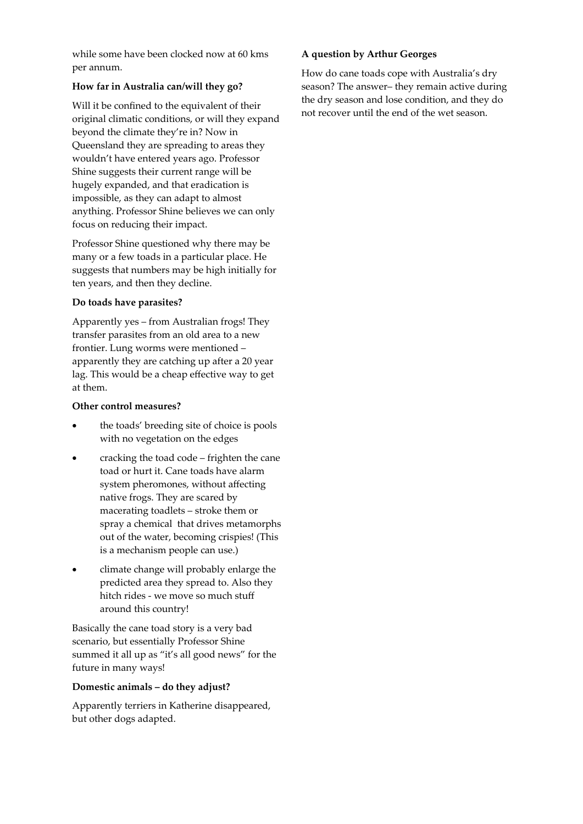while some have been clocked now at 60 kms per annum.

#### **How far in Australia can/will they go?**

Will it be confined to the equivalent of their original climatic conditions, or will they expand beyond the climate they're in? Now in Queensland they are spreading to areas they wouldn't have entered years ago. Professor Shine suggests their current range will be hugely expanded, and that eradication is impossible, as they can adapt to almost anything. Professor Shine believes we can only focus on reducing their impact.

Professor Shine questioned why there may be many or a few toads in a particular place. He suggests that numbers may be high initially for ten years, and then they decline.

#### **Do toads have parasites?**

Apparently yes – from Australian frogs! They transfer parasites from an old area to a new frontier. Lung worms were mentioned – apparently they are catching up after a 20 year lag. This would be a cheap effective way to get at them.

#### **Other control measures?**

- the toads' breeding site of choice is pools with no vegetation on the edges
- cracking the toad code frighten the cane toad or hurt it. Cane toads have alarm system pheromones, without affecting native frogs. They are scared by macerating toadlets – stroke them or spray a chemical that drives metamorphs out of the water, becoming crispies! (This is a mechanism people can use.)
- climate change will probably enlarge the predicted area they spread to. Also they hitch rides - we move so much stuff around this country!

Basically the cane toad story is a very bad scenario, but essentially Professor Shine summed it all up as "it's all good news" for the future in many ways!

#### **Domestic animals – do they adjust?**

Apparently terriers in Katherine disappeared, but other dogs adapted.

#### **A question by Arthur Georges**

How do cane toads cope with Australia's dry season? The answer– they remain active during the dry season and lose condition, and they do not recover until the end of the wet season.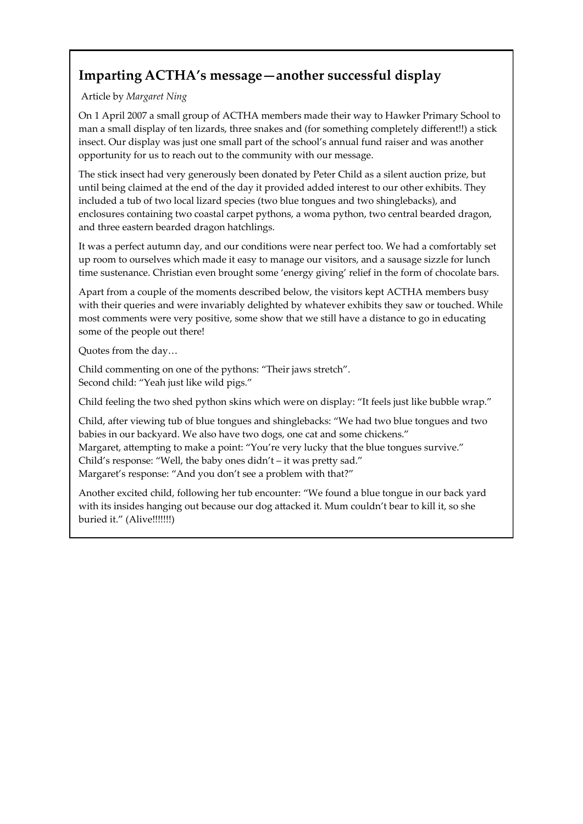# **Imparting ACTHA's message—another successful display**

#### Article by *Margaret Ning*

On 1 April 2007 a small group of ACTHA members made their way to Hawker Primary School to man a small display of ten lizards, three snakes and (for something completely different!!) a stick insect. Our display was just one small part of the school's annual fund raiser and was another opportunity for us to reach out to the community with our message.

The stick insect had very generously been donated by Peter Child as a silent auction prize, but until being claimed at the end of the day it provided added interest to our other exhibits. They included a tub of two local lizard species (two blue tongues and two shinglebacks), and enclosures containing two coastal carpet pythons, a woma python, two central bearded dragon, and three eastern bearded dragon hatchlings.

It was a perfect autumn day, and our conditions were near perfect too. We had a comfortably set up room to ourselves which made it easy to manage our visitors, and a sausage sizzle for lunch time sustenance. Christian even brought some 'energy giving' relief in the form of chocolate bars.

Apart from a couple of the moments described below, the visitors kept ACTHA members busy with their queries and were invariably delighted by whatever exhibits they saw or touched. While most comments were very positive, some show that we still have a distance to go in educating some of the people out there!

Quotes from the day<

Child commenting on one of the pythons: 'Their jaws stretch'. Second child: 'Yeah just like wild pigs.'

Child feeling the two shed python skins which were on display: 'It feels just like bubble wrap.'

Child, after viewing tub of blue tongues and shinglebacks: 'We had two blue tongues and two babies in our backyard. We also have two dogs, one cat and some chickens.' Margaret, attempting to make a point: "You're very lucky that the blue tongues survive." Child's response: "Well, the baby ones didn't - it was pretty sad." Margaret's response: "And you don't see a problem with that?"

Another excited child, following her tub encounter: 'We found a blue tongue in our back yard with its insides hanging out because our dog attacked it. Mum couldn't bear to kill it, so she buried it.' (Alive!!!!!!!)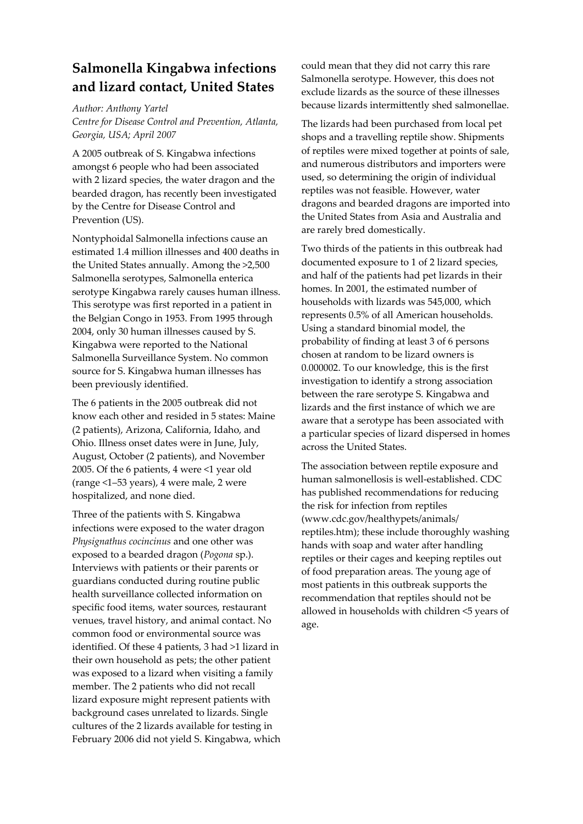# **Salmonella Kingabwa infections and lizard contact, United States**

*Author: Anthony Yartel*

*Centre for Disease Control and Prevention, Atlanta, Georgia, USA; April 2007*

A 2005 outbreak of S. Kingabwa infections amongst 6 people who had been associated with 2 lizard species, the water dragon and the bearded dragon, has recently been investigated by the Centre for Disease Control and Prevention (US).

Nontyphoidal Salmonella infections cause an estimated 1.4 million illnesses and 400 deaths in the United States annually. Among the >2,500 Salmonella serotypes, Salmonella enterica serotype Kingabwa rarely causes human illness. This serotype was first reported in a patient in the Belgian Congo in 1953. From 1995 through 2004, only 30 human illnesses caused by S. Kingabwa were reported to the National Salmonella Surveillance System. No common source for S. Kingabwa human illnesses has been previously identified.

The 6 patients in the 2005 outbreak did not know each other and resided in 5 states: Maine (2 patients), Arizona, California, Idaho, and Ohio. Illness onset dates were in June, July, August, October (2 patients), and November 2005. Of the 6 patients, 4 were <1 year old (range <1–53 years), 4 were male, 2 were hospitalized, and none died.

Three of the patients with S. Kingabwa infections were exposed to the water dragon *Physignathus cocincinus* and one other was exposed to a bearded dragon (*Pogona* sp.). Interviews with patients or their parents or guardians conducted during routine public health surveillance collected information on specific food items, water sources, restaurant venues, travel history, and animal contact. No common food or environmental source was identified. Of these 4 patients, 3 had >1 lizard in their own household as pets; the other patient was exposed to a lizard when visiting a family member. The 2 patients who did not recall lizard exposure might represent patients with background cases unrelated to lizards. Single cultures of the 2 lizards available for testing in February 2006 did not yield S. Kingabwa, which could mean that they did not carry this rare Salmonella serotype. However, this does not exclude lizards as the source of these illnesses because lizards intermittently shed salmonellae.

The lizards had been purchased from local pet shops and a travelling reptile show. Shipments of reptiles were mixed together at points of sale, and numerous distributors and importers were used, so determining the origin of individual reptiles was not feasible. However, water dragons and bearded dragons are imported into the United States from Asia and Australia and are rarely bred domestically.

Two thirds of the patients in this outbreak had documented exposure to 1 of 2 lizard species, and half of the patients had pet lizards in their homes. In 2001, the estimated number of households with lizards was 545,000, which represents 0.5% of all American households. Using a standard binomial model, the probability of finding at least 3 of 6 persons chosen at random to be lizard owners is 0.000002. To our knowledge, this is the first investigation to identify a strong association between the rare serotype S. Kingabwa and lizards and the first instance of which we are aware that a serotype has been associated with a particular species of lizard dispersed in homes across the United States.

The association between reptile exposure and human salmonellosis is well-established. CDC has published recommendations for reducing the risk for infection from reptiles (www.cdc.gov/healthypets/animals/ reptiles.htm); these include thoroughly washing hands with soap and water after handling reptiles or their cages and keeping reptiles out of food preparation areas. The young age of most patients in this outbreak supports the recommendation that reptiles should not be allowed in households with children <5 years of age.